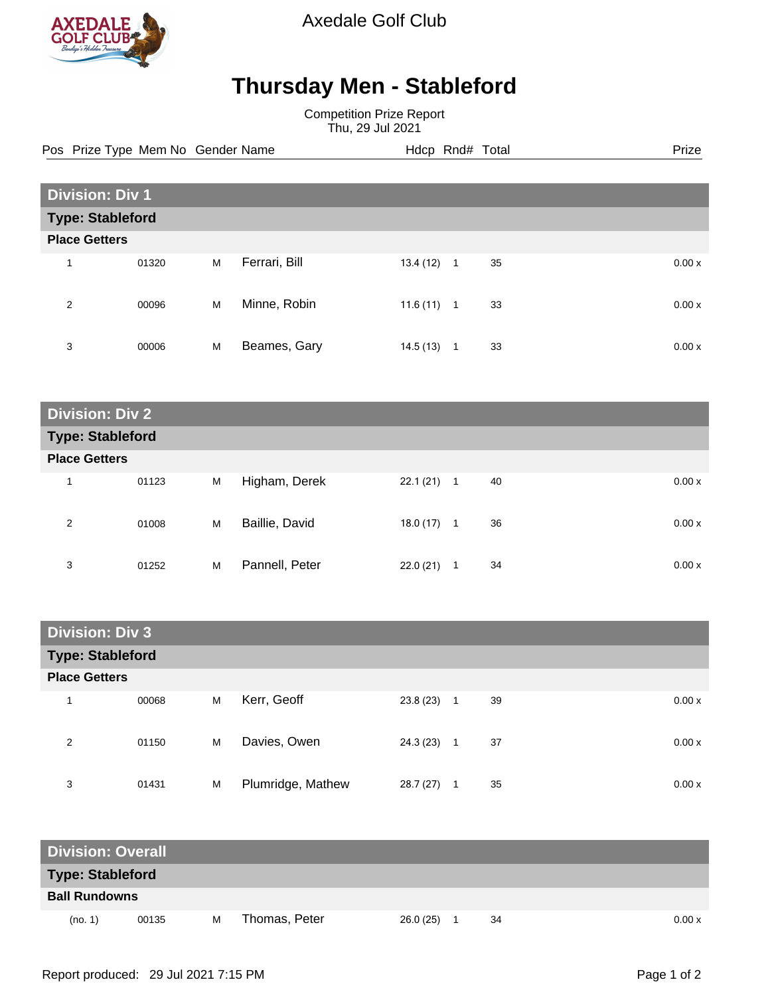

Axedale Golf Club

## **Thursday Men - Stableford**

Competition Prize Report Thu, 29 Jul 2021

Pos Prize Type Mem No Gender Name **Hdcp Rnd# Total** Prize Prize

| <b>Division: Div 1</b>  |       |   |               |           |                |    |  |        |  |
|-------------------------|-------|---|---------------|-----------|----------------|----|--|--------|--|
| <b>Type: Stableford</b> |       |   |               |           |                |    |  |        |  |
| <b>Place Getters</b>    |       |   |               |           |                |    |  |        |  |
| 1                       | 01320 | M | Ferrari, Bill | 13.4 (12) | $\overline{1}$ | 35 |  | 0.00x  |  |
| 2                       | 00096 | M | Minne, Robin  | 11.6(11)  | $\overline{1}$ | 33 |  | 0.00 x |  |
| 3                       | 00006 | M | Beames, Gary  | 14.5(13)  | -1             | 33 |  | 0.00x  |  |

| <b>Division: Div 2</b>  |       |   |                |           |              |             |  |  |  |
|-------------------------|-------|---|----------------|-----------|--------------|-------------|--|--|--|
| <b>Type: Stableford</b> |       |   |                |           |              |             |  |  |  |
| <b>Place Getters</b>    |       |   |                |           |              |             |  |  |  |
| 1                       | 01123 | M | Higham, Derek  | 22.1(21)  | $\mathbf{1}$ | 40<br>0.00x |  |  |  |
| 2                       | 01008 | M | Baillie, David | 18.0 (17) | $\mathbf{1}$ | 36<br>0.00x |  |  |  |
| 3                       | 01252 | M | Pannell, Peter | 22.0(21)  | 1            | 34<br>0.00x |  |  |  |

| <b>Division: Div 3</b>  |       |   |                   |           |                |    |       |
|-------------------------|-------|---|-------------------|-----------|----------------|----|-------|
| <b>Type: Stableford</b> |       |   |                   |           |                |    |       |
| <b>Place Getters</b>    |       |   |                   |           |                |    |       |
| 1                       | 00068 | M | Kerr, Geoff       | 23.8(23)  | $\overline{1}$ | 39 | 0.00x |
| 2                       | 01150 | M | Davies, Owen      | 24.3 (23) | $\overline{1}$ | 37 | 0.00x |
| 3                       | 01431 | M | Plumridge, Mathew | 28.7(27)  | 1              | 35 | 0.00x |

| <b>Division: Overall</b> |       |   |               |           |    |       |
|--------------------------|-------|---|---------------|-----------|----|-------|
| <b>Type: Stableford</b>  |       |   |               |           |    |       |
| <b>Ball Rundowns</b>     |       |   |               |           |    |       |
| (no. 1)                  | 00135 | м | Thomas, Peter | 26.0 (25) | 34 | 0.00x |